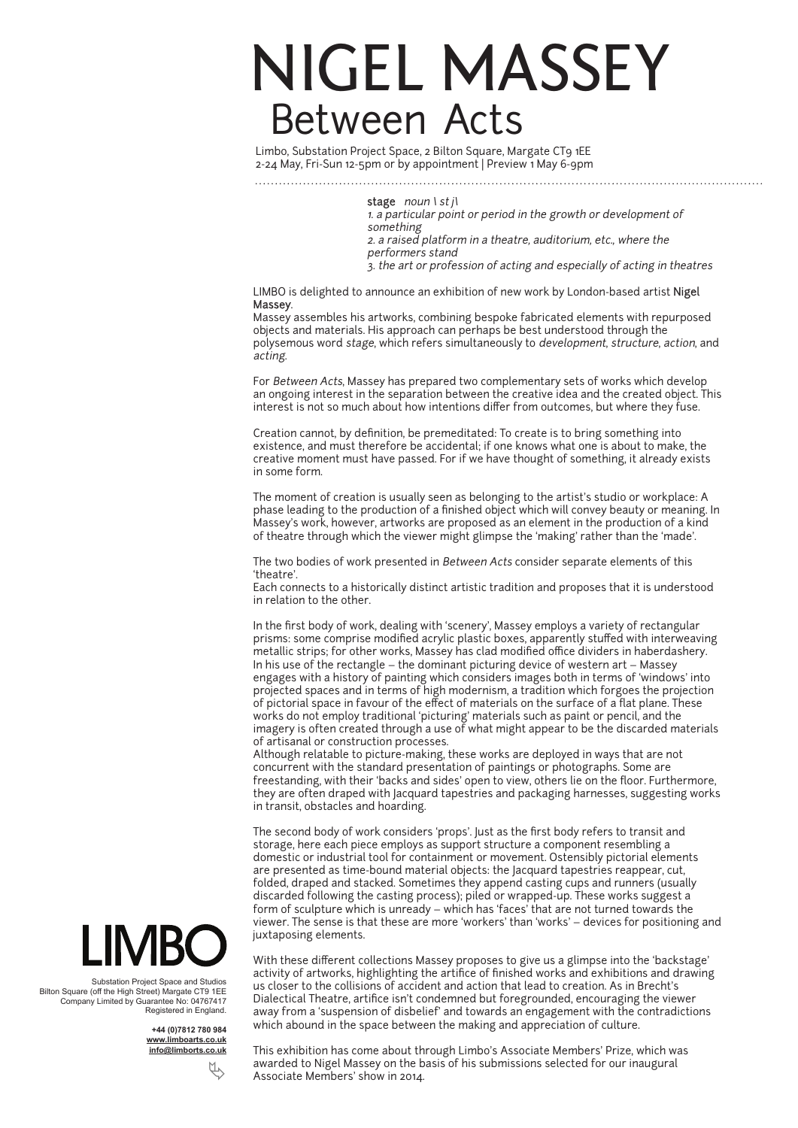## NIGEL MASSEY Between Acts

Limbo, Substation Project Space, 2 Bilton Square, Margate CT9 1EE 2-24 May, Fri-Sun 12-5pm or by appointment | Preview 1 May 6-9pm

stage  $noun \; | \; st \; j\; |$ 

1. a particular point or period in the growth or development of something 2. a raised platform in a theatre, auditorium, etc., where the performers stand 3. the art or profession of acting and especially of acting in theatres

LIMBO is delighted to announce an exhibition of new work by London-based artist Nigel Massey.

Massey assembles his artworks, combining bespoke fabricated elements with repurposed objects and materials. His approach can perhaps be best understood through the polysemous word stage, which refers simultaneously to development, structure, action, and acting.

For Between Acts, Massey has prepared two complementary sets of works which develop an ongoing interest in the separation between the creative idea and the created object. This interest is not so much about how intentions differ from outcomes, but where they fuse.

Creation cannot, by definition, be premeditated: To create is to bring something into existence, and must therefore be accidental; if one knows what one is about to make, the creative moment must have passed. For if we have thought of something, it already exists in some form.

The moment of creation is usually seen as belonging to the artist's studio or workplace: A phase leading to the production of a finished object which will convey beauty or meaning. In Massey's work, however, artworks are proposed as an element in the production of a kind of theatre through which the viewer might glimpse the 'making' rather than the 'made'.

The two bodies of work presented in Between Acts consider separate elements of this 'theatre'.

Each connects to a historically distinct artistic tradition and proposes that it is understood in relation to the other.

In the first body of work, dealing with 'scenery', Massey employs a variety of rectangular prisms: some comprise modified acrylic plastic boxes, apparently stuffed with interweaving metallic strips; for other works, Massey has clad modified office dividers in haberdashery. In his use of the rectangle – the dominant picturing device of western art – Massey engages with a history of painting which considers images both in terms of 'windows' into projected spaces and in terms of high modernism, a tradition which forgoes the projection of pictorial space in favour of the effect of materials on the surface of a flat plane. These works do not employ traditional 'picturing' materials such as paint or pencil, and the imagery is often created through a use of what might appear to be the discarded materials of artisanal or construction processes.

Although relatable to picture-making, these works are deployed in ways that are not concurrent with the standard presentation of paintings or photographs. Some are freestanding, with their 'backs and sides' open to view, others lie on the floor. Furthermore, they are often draped with Jacquard tapestries and packaging harnesses, suggesting works in transit, obstacles and hoarding.

The second body of work considers 'props'. Just as the first body refers to transit and storage, here each piece employs as support structure a component resembling a domestic or industrial tool for containment or movement. Ostensibly pictorial elements are presented as time-bound material objects: the Jacquard tapestries reappear, cut, folded, draped and stacked. Sometimes they append casting cups and runners (usually discarded following the casting process); piled or wrapped-up. These works suggest a form of sculpture which is unready – which has 'faces' that are not turned towards the viewer. The sense is that these are more 'workers' than 'works' – devices for positioning and juxtaposing elements.



This exhibition has come about through Limbo's Associate Members' Prize, which was awarded to Nigel Massey on the basis of his submissions selected for our inaugural Associate Members' show in 2014.



Substation Project Space and Studios Bilton Square (off the High Street) Margate CT9 1EE Company Limited by Guarantee No: 04767417 Registered in England.

> **+44 (0)7812 780 984 www.limboarts.co.uk info@limborts.co.uk**

> > Ä